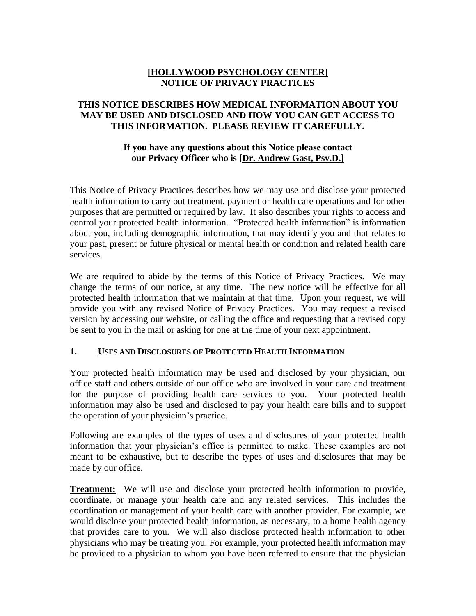### **[HOLLYWOOD PSYCHOLOGY CENTER] NOTICE OF PRIVACY PRACTICES**

### **THIS NOTICE DESCRIBES HOW MEDICAL INFORMATION ABOUT YOU MAY BE USED AND DISCLOSED AND HOW YOU CAN GET ACCESS TO THIS INFORMATION. PLEASE REVIEW IT CAREFULLY.**

#### **If you have any questions about this Notice please contact our Privacy Officer who is [Dr. Andrew Gast, Psy.D.]**

This Notice of Privacy Practices describes how we may use and disclose your protected health information to carry out treatment, payment or health care operations and for other purposes that are permitted or required by law. It also describes your rights to access and control your protected health information. "Protected health information" is information about you, including demographic information, that may identify you and that relates to your past, present or future physical or mental health or condition and related health care services.

We are required to abide by the terms of this Notice of Privacy Practices. We may change the terms of our notice, at any time. The new notice will be effective for all protected health information that we maintain at that time. Upon your request, we will provide you with any revised Notice of Privacy Practices. You may request a revised version by accessing our website, or calling the office and requesting that a revised copy be sent to you in the mail or asking for one at the time of your next appointment.

### **1. USES AND DISCLOSURES OF PROTECTED HEALTH INFORMATION**

Your protected health information may be used and disclosed by your physician, our office staff and others outside of our office who are involved in your care and treatment for the purpose of providing health care services to you. Your protected health information may also be used and disclosed to pay your health care bills and to support the operation of your physician's practice.

Following are examples of the types of uses and disclosures of your protected health information that your physician's office is permitted to make. These examples are not meant to be exhaustive, but to describe the types of uses and disclosures that may be made by our office.

**Treatment:** We will use and disclose your protected health information to provide, coordinate, or manage your health care and any related services. This includes the coordination or management of your health care with another provider. For example, we would disclose your protected health information, as necessary, to a home health agency that provides care to you. We will also disclose protected health information to other physicians who may be treating you. For example, your protected health information may be provided to a physician to whom you have been referred to ensure that the physician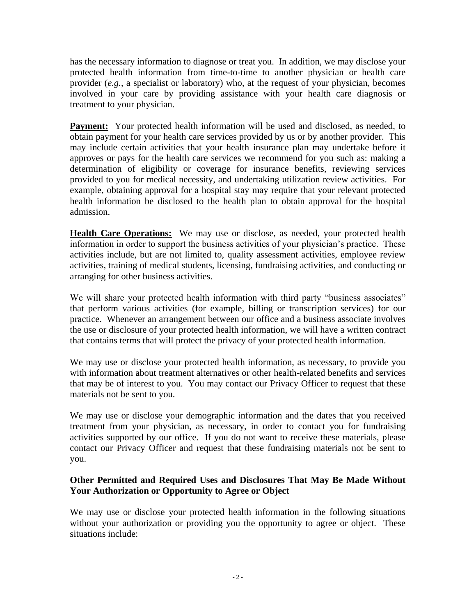has the necessary information to diagnose or treat you. In addition, we may disclose your protected health information from time-to-time to another physician or health care provider (*e.g.*, a specialist or laboratory) who, at the request of your physician, becomes involved in your care by providing assistance with your health care diagnosis or treatment to your physician.

**Payment:** Your protected health information will be used and disclosed, as needed, to obtain payment for your health care services provided by us or by another provider. This may include certain activities that your health insurance plan may undertake before it approves or pays for the health care services we recommend for you such as: making a determination of eligibility or coverage for insurance benefits, reviewing services provided to you for medical necessity, and undertaking utilization review activities. For example, obtaining approval for a hospital stay may require that your relevant protected health information be disclosed to the health plan to obtain approval for the hospital admission.

**Health Care Operations:** We may use or disclose, as needed, your protected health information in order to support the business activities of your physician's practice. These activities include, but are not limited to, quality assessment activities, employee review activities, training of medical students, licensing, fundraising activities, and conducting or arranging for other business activities.

We will share your protected health information with third party "business associates" that perform various activities (for example, billing or transcription services) for our practice. Whenever an arrangement between our office and a business associate involves the use or disclosure of your protected health information, we will have a written contract that contains terms that will protect the privacy of your protected health information.

We may use or disclose your protected health information, as necessary, to provide you with information about treatment alternatives or other health-related benefits and services that may be of interest to you. You may contact our Privacy Officer to request that these materials not be sent to you.

We may use or disclose your demographic information and the dates that you received treatment from your physician, as necessary, in order to contact you for fundraising activities supported by our office. If you do not want to receive these materials, please contact our Privacy Officer and request that these fundraising materials not be sent to you.

### **Other Permitted and Required Uses and Disclosures That May Be Made Without Your Authorization or Opportunity to Agree or Object**

We may use or disclose your protected health information in the following situations without your authorization or providing you the opportunity to agree or object. These situations include: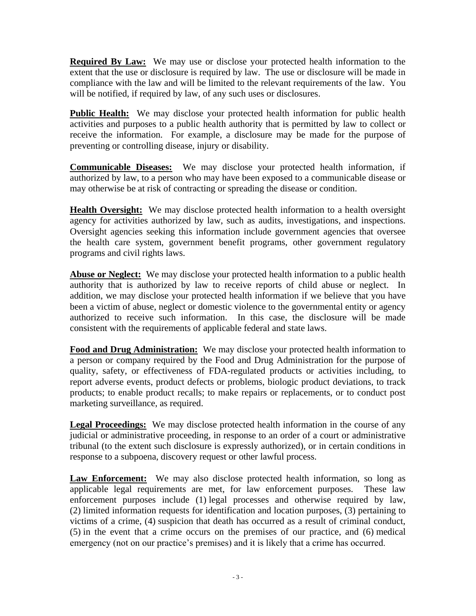**Required By Law:** We may use or disclose your protected health information to the extent that the use or disclosure is required by law. The use or disclosure will be made in compliance with the law and will be limited to the relevant requirements of the law. You will be notified, if required by law, of any such uses or disclosures.

**Public Health:** We may disclose your protected health information for public health activities and purposes to a public health authority that is permitted by law to collect or receive the information. For example, a disclosure may be made for the purpose of preventing or controlling disease, injury or disability.

**Communicable Diseases:** We may disclose your protected health information, if authorized by law, to a person who may have been exposed to a communicable disease or may otherwise be at risk of contracting or spreading the disease or condition.

**Health Oversight:** We may disclose protected health information to a health oversight agency for activities authorized by law, such as audits, investigations, and inspections. Oversight agencies seeking this information include government agencies that oversee the health care system, government benefit programs, other government regulatory programs and civil rights laws.

**Abuse or Neglect:** We may disclose your protected health information to a public health authority that is authorized by law to receive reports of child abuse or neglect. In addition, we may disclose your protected health information if we believe that you have been a victim of abuse, neglect or domestic violence to the governmental entity or agency authorized to receive such information. In this case, the disclosure will be made consistent with the requirements of applicable federal and state laws.

**Food and Drug Administration:** We may disclose your protected health information to a person or company required by the Food and Drug Administration for the purpose of quality, safety, or effectiveness of FDA-regulated products or activities including, to report adverse events, product defects or problems, biologic product deviations, to track products; to enable product recalls; to make repairs or replacements, or to conduct post marketing surveillance, as required.

**Legal Proceedings:** We may disclose protected health information in the course of any judicial or administrative proceeding, in response to an order of a court or administrative tribunal (to the extent such disclosure is expressly authorized), or in certain conditions in response to a subpoena, discovery request or other lawful process.

Law Enforcement: We may also disclose protected health information, so long as applicable legal requirements are met, for law enforcement purposes. These law enforcement purposes include (1) legal processes and otherwise required by law, (2) limited information requests for identification and location purposes, (3) pertaining to victims of a crime, (4) suspicion that death has occurred as a result of criminal conduct, (5) in the event that a crime occurs on the premises of our practice, and (6) medical emergency (not on our practice's premises) and it is likely that a crime has occurred.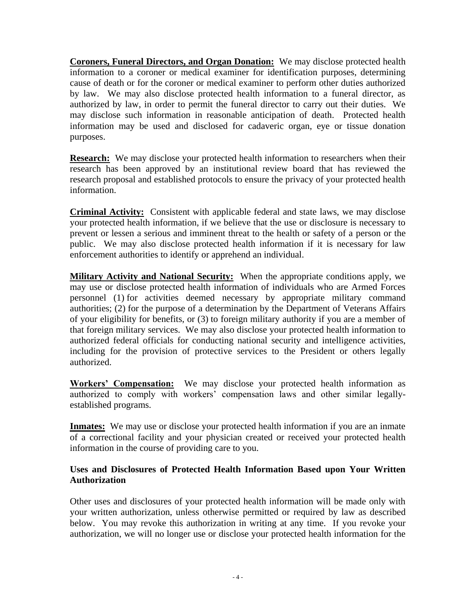**Coroners, Funeral Directors, and Organ Donation:** We may disclose protected health information to a coroner or medical examiner for identification purposes, determining cause of death or for the coroner or medical examiner to perform other duties authorized by law. We may also disclose protected health information to a funeral director, as authorized by law, in order to permit the funeral director to carry out their duties. We may disclose such information in reasonable anticipation of death. Protected health information may be used and disclosed for cadaveric organ, eye or tissue donation purposes.

**Research:** We may disclose your protected health information to researchers when their research has been approved by an institutional review board that has reviewed the research proposal and established protocols to ensure the privacy of your protected health information.

**Criminal Activity:** Consistent with applicable federal and state laws, we may disclose your protected health information, if we believe that the use or disclosure is necessary to prevent or lessen a serious and imminent threat to the health or safety of a person or the public. We may also disclose protected health information if it is necessary for law enforcement authorities to identify or apprehend an individual.

**Military Activity and National Security:** When the appropriate conditions apply, we may use or disclose protected health information of individuals who are Armed Forces personnel (1) for activities deemed necessary by appropriate military command authorities; (2) for the purpose of a determination by the Department of Veterans Affairs of your eligibility for benefits, or (3) to foreign military authority if you are a member of that foreign military services. We may also disclose your protected health information to authorized federal officials for conducting national security and intelligence activities, including for the provision of protective services to the President or others legally authorized.

**Workers' Compensation:** We may disclose your protected health information as authorized to comply with workers' compensation laws and other similar legallyestablished programs.

**Inmates:** We may use or disclose your protected health information if you are an inmate of a correctional facility and your physician created or received your protected health information in the course of providing care to you.

### **Uses and Disclosures of Protected Health Information Based upon Your Written Authorization**

Other uses and disclosures of your protected health information will be made only with your written authorization, unless otherwise permitted or required by law as described below. You may revoke this authorization in writing at any time. If you revoke your authorization, we will no longer use or disclose your protected health information for the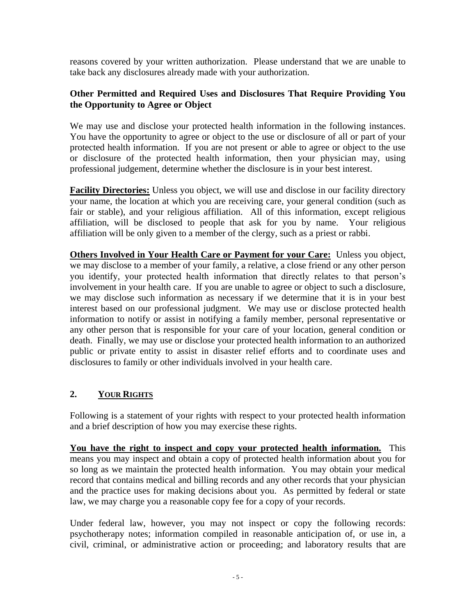reasons covered by your written authorization. Please understand that we are unable to take back any disclosures already made with your authorization.

#### **Other Permitted and Required Uses and Disclosures That Require Providing You the Opportunity to Agree or Object**

We may use and disclose your protected health information in the following instances. You have the opportunity to agree or object to the use or disclosure of all or part of your protected health information. If you are not present or able to agree or object to the use or disclosure of the protected health information, then your physician may, using professional judgement, determine whether the disclosure is in your best interest.

**Facility Directories:** Unless you object, we will use and disclose in our facility directory your name, the location at which you are receiving care, your general condition (such as fair or stable), and your religious affiliation. All of this information, except religious affiliation, will be disclosed to people that ask for you by name. Your religious affiliation will be only given to a member of the clergy, such as a priest or rabbi.

**Others Involved in Your Health Care or Payment for your Care:** Unless you object, we may disclose to a member of your family, a relative, a close friend or any other person you identify, your protected health information that directly relates to that person's involvement in your health care. If you are unable to agree or object to such a disclosure, we may disclose such information as necessary if we determine that it is in your best interest based on our professional judgment. We may use or disclose protected health information to notify or assist in notifying a family member, personal representative or any other person that is responsible for your care of your location, general condition or death. Finally, we may use or disclose your protected health information to an authorized public or private entity to assist in disaster relief efforts and to coordinate uses and disclosures to family or other individuals involved in your health care.

# **2. YOUR RIGHTS**

Following is a statement of your rights with respect to your protected health information and a brief description of how you may exercise these rights.

**You have the right to inspect and copy your protected health information.** This means you may inspect and obtain a copy of protected health information about you for so long as we maintain the protected health information. You may obtain your medical record that contains medical and billing records and any other records that your physician and the practice uses for making decisions about you. As permitted by federal or state law, we may charge you a reasonable copy fee for a copy of your records.

Under federal law, however, you may not inspect or copy the following records: psychotherapy notes; information compiled in reasonable anticipation of, or use in, a civil, criminal, or administrative action or proceeding; and laboratory results that are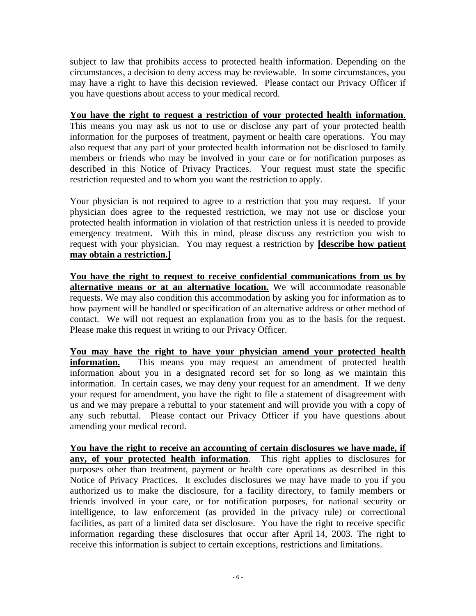subject to law that prohibits access to protected health information. Depending on the circumstances, a decision to deny access may be reviewable. In some circumstances, you may have a right to have this decision reviewed. Please contact our Privacy Officer if you have questions about access to your medical record.

#### **You have the right to request a restriction of your protected health information**.

This means you may ask us not to use or disclose any part of your protected health information for the purposes of treatment, payment or health care operations. You may also request that any part of your protected health information not be disclosed to family members or friends who may be involved in your care or for notification purposes as described in this Notice of Privacy Practices. Your request must state the specific restriction requested and to whom you want the restriction to apply.

Your physician is not required to agree to a restriction that you may request. If your physician does agree to the requested restriction, we may not use or disclose your protected health information in violation of that restriction unless it is needed to provide emergency treatment. With this in mind, please discuss any restriction you wish to request with your physician. You may request a restriction by **[describe how patient may obtain a restriction.]**

**You have the right to request to receive confidential communications from us by alternative means or at an alternative location.** We will accommodate reasonable requests. We may also condition this accommodation by asking you for information as to how payment will be handled or specification of an alternative address or other method of contact. We will not request an explanation from you as to the basis for the request. Please make this request in writing to our Privacy Officer.

**You may have the right to have your physician amend your protected health information.** This means you may request an amendment of protected health information about you in a designated record set for so long as we maintain this information. In certain cases, we may deny your request for an amendment. If we deny your request for amendment, you have the right to file a statement of disagreement with us and we may prepare a rebuttal to your statement and will provide you with a copy of any such rebuttal. Please contact our Privacy Officer if you have questions about amending your medical record.

**You have the right to receive an accounting of certain disclosures we have made, if any, of your protected health information**. This right applies to disclosures for purposes other than treatment, payment or health care operations as described in this Notice of Privacy Practices. It excludes disclosures we may have made to you if you authorized us to make the disclosure, for a facility directory, to family members or friends involved in your care, or for notification purposes, for national security or intelligence, to law enforcement (as provided in the privacy rule) or correctional facilities, as part of a limited data set disclosure. You have the right to receive specific information regarding these disclosures that occur after April 14, 2003. The right to receive this information is subject to certain exceptions, restrictions and limitations.